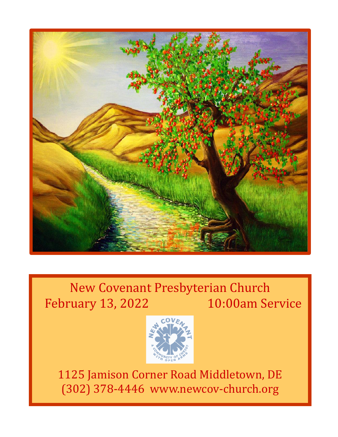

New Covenant Presbyterian Church February 13, 2022 10:00am Service



1125 Jamison Corner Road Middletown, DE (302) 378-4446 www.newcov-church.org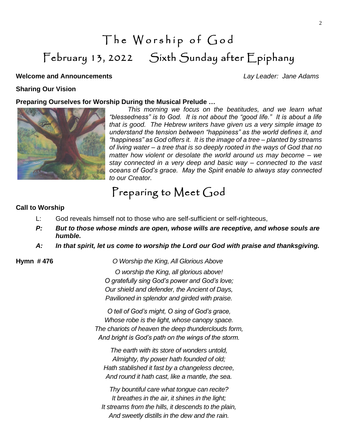# The Worship of God February 13, 2022 Sixth Sunday after Epiphany

#### **Welcome and Announcements** *Lay Leader: Jane Adams*

#### **Sharing Our Vision**

#### **Preparing Ourselves for Worship During the Musical Prelude …**



*This morning we focus on the beatitudes, and we learn what "blessedness" is to God. It is not about the "good life." It is about a life that is good. The Hebrew writers have given us a very simple image to understand the tension between "happiness" as the world defines it, and "happiness" as God offers it. It is the image of a tree – planted by streams of living water – a tree that is so deeply rooted in the ways of God that no matter how violent or desolate the world around us may become – we stay connected in a very deep and basic way – connected to the vast oceans of God's grace. May the Spirit enable to always stay connected to our Creator.*

### Preparing to Meet God

#### **Call to Worship**

- L: God reveals himself not to those who are self-sufficient or self-righteous,
- *P: But to those whose minds are open, whose wills are receptive, and whose souls are humble.*
- *A: In that spirit, let us come to worship the Lord our God with praise and thanksgiving.*

**Hymn # 476** *O Worship the King, All Glorious Above*

*O worship the King, all glorious above! O gratefully sing God's power and God's love; Our shield and defender, the Ancient of Days, Pavilioned in splendor and girded with praise.*

*O tell of God's might, O sing of God's grace, Whose robe is the light, whose canopy space. The chariots of heaven the deep thunderclouds form, And bright is God's path on the wings of the storm.*

*The earth with its store of wonders untold, Almighty, thy power hath founded of old; Hath stablished it fast by a changeless decree, And round it hath cast, like a mantle, the sea.*

*Thy bountiful care what tongue can recite? It breathes in the air, it shines in the light; It streams from the hills, it descends to the plain, And sweetly distills in the dew and the rain.*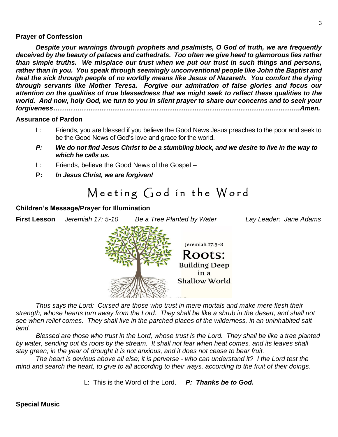#### **Prayer of Confession**

*Despite your warnings through prophets and psalmists, O God of truth, we are frequently deceived by the beauty of palaces and cathedrals. Too often we give heed to glamorous lies rather than simple truths. We misplace our trust when we put our trust in such things and persons, rather than in you. You speak through seemingly unconventional people like John the Baptist and heal the sick through people of no worldly means like Jesus of Nazareth. You comfort the dying through servants like Mother Teresa. Forgive our admiration of false glories and focus our attention on the qualities of true blessedness that we might seek to reflect these qualities to the world. And now, holy God, we turn to you in silent prayer to share our concerns and to seek your forgiveness………………………………………………………………………………………………….Amen.*

#### **Assurance of Pardon**

- L: Friends, you are blessed if you believe the Good News Jesus preaches to the poor and seek to be the Good News of God's love and grace for the world.
- *P: We do not find Jesus Christ to be a stumbling block, and we desire to live in the way to which he calls us.*
- L: Friends, believe the Good News of the Gospel –
- **P:** *In Jesus Christ, we are forgiven!*

## Meeting God in the Word

#### **Children's Message/Prayer for Illumination**

**First Lesson** *Jeremiah 17: 5-10 Be a Tree Planted by Water Lay Leader: Jane Adams*



*Thus says the Lord: Cursed are those who trust in mere mortals and make mere flesh their strength, whose hearts turn away from the Lord. They shall be like a shrub in the desert, and shall not see when relief comes. They shall live in the parched places of the wilderness, in an uninhabited salt land.*

*Blessed are those who trust in the Lord, whose trust is the Lord. They shall be like a tree planted by water, sending out its roots by the stream. It shall not fear when heat comes, and its leaves shall stay green; in the year of drought it is not anxious, and it does not cease to bear fruit.*

*The heart is devious above all else; it is perverse - who can understand it? I the Lord test the mind and search the heart, to give to all according to their ways, according to the fruit of their doings.*

L: This is the Word of the Lord. *P: Thanks be to God.*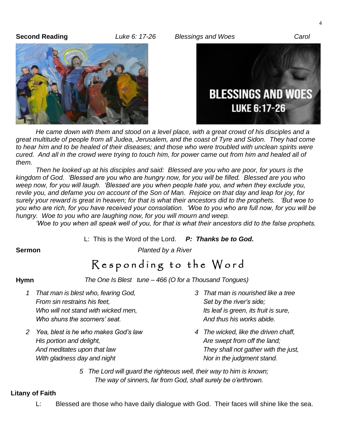**Second Reading** *Luke 6: 17-26 Blessings and Woes Carol*





*He came down with them and stood on a level place, with a great crowd of his disciples and a great multitude of people from all Judea, Jerusalem, and the coast of Tyre and Sidon. They had come to hear him and to be healed of their diseases; and those who were troubled with unclean spirits were cured. And all in the crowd were trying to touch him, for power came out from him and healed all of them.*

*Then he looked up at his disciples and said: Blessed are you who are poor, for yours is the kingdom of God. 'Blessed are you who are hungry now, for you will be filled. Blessed are you who weep now, for you will laugh. 'Blessed are you when people hate you, and when they exclude you, revile you, and defame you on account of the Son of Man. Rejoice on that day and leap for joy, for surely your reward is great in heaven; for that is what their ancestors did to the prophets. 'But woe to you who are rich, for you have received your consolation. 'Woe to you who are full now, for you will be hungry. Woe to you who are laughing now, for you will mourn and weep.*

*'Woe to you when all speak well of you, for that is what their ancestors did to the false prophets.*

L: This is the Word of the Lord. *P: Thanks be to God.*

**Sermon** *Planted by a River*

## Responding to the Word

**Hymn** *The One Is Blest tune – 466 (O for a Thousand Tongues)*

- *1 That man is blest who, fearing God, 3 That man is nourished like a tree From sin restrains his feet,* Set by the river's side; Set by the river's side; Set by the river's side; Set by the river's side; Set by the river's side; Set by the river's side; Set by the river's side; Set by the river *Who will not stand with wicked men,* In the same of the leaf is green, its fruit is sure, Who shuns the scorners' seat. And thus his works abide.
- *2 Yea, blest is he who makes God's law 4 The wicked, like the driven chaff, His portion and delight,*  $\overline{A}$  *Are swept from off the land; And meditates upon that law They shall not gather with the just, With gladness day and night* Nor in the judgment stand.
- 
- 

*5 The Lord will guard the righteous well, their way to him is known; The way of sinners, far from God, shall surely be o'erthrown.*

#### **Litany of Faith**

L: Blessed are those who have daily dialogue with God. Their faces will shine like the sea.